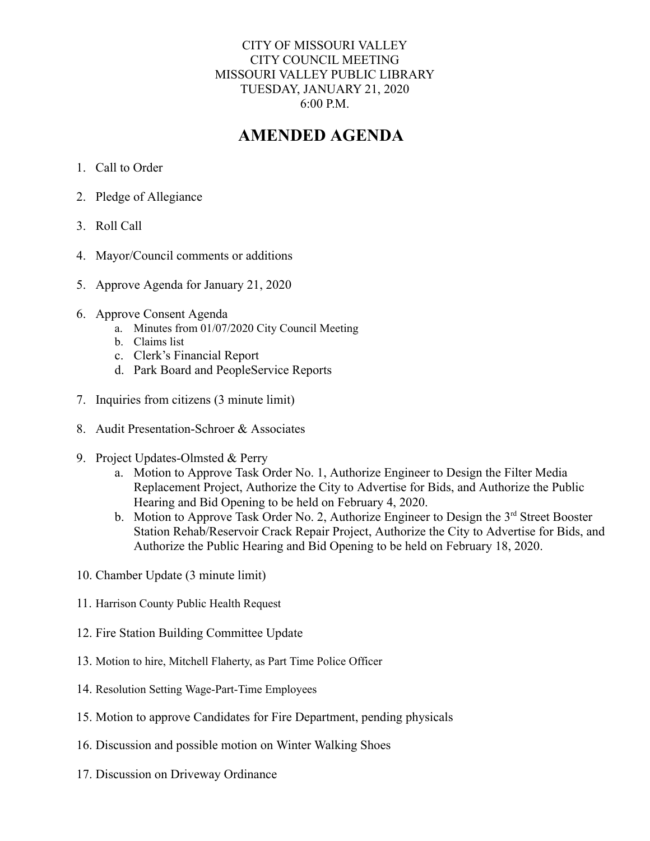## CITY OF MISSOURI VALLEY CITY COUNCIL MEETING MISSOURI VALLEY PUBLIC LIBRARY TUESDAY, JANUARY 21, 2020 6:00 P.M.

## **AMENDED AGENDA**

- 1. Call to Order
- 2. Pledge of Allegiance
- 3. Roll Call
- 4. Mayor/Council comments or additions
- 5. Approve Agenda for January 21, 2020
- 6. Approve Consent Agenda
	- a. Minutes from 01/07/2020 City Council Meeting
	- b. Claims list
	- c. Clerk's Financial Report
	- d. Park Board and PeopleService Reports
- 7. Inquiries from citizens (3 minute limit)
- 8. Audit Presentation-Schroer & Associates
- 9. Project Updates-Olmsted & Perry
	- a. Motion to Approve Task Order No. 1, Authorize Engineer to Design the Filter Media Replacement Project, Authorize the City to Advertise for Bids, and Authorize the Public Hearing and Bid Opening to be held on February 4, 2020.
	- b. Motion to Approve Task Order No. 2, Authorize Engineer to Design the 3<sup>rd</sup> Street Booster Station Rehab/Reservoir Crack Repair Project, Authorize the City to Advertise for Bids, and Authorize the Public Hearing and Bid Opening to be held on February 18, 2020.
- 10. Chamber Update (3 minute limit)
- 11. Harrison County Public Health Request
- 12. Fire Station Building Committee Update
- 13. Motion to hire, Mitchell Flaherty, as Part Time Police Officer
- 14. Resolution Setting Wage-Part-Time Employees
- 15. Motion to approve Candidates for Fire Department, pending physicals
- 16. Discussion and possible motion on Winter Walking Shoes
- 17. Discussion on Driveway Ordinance